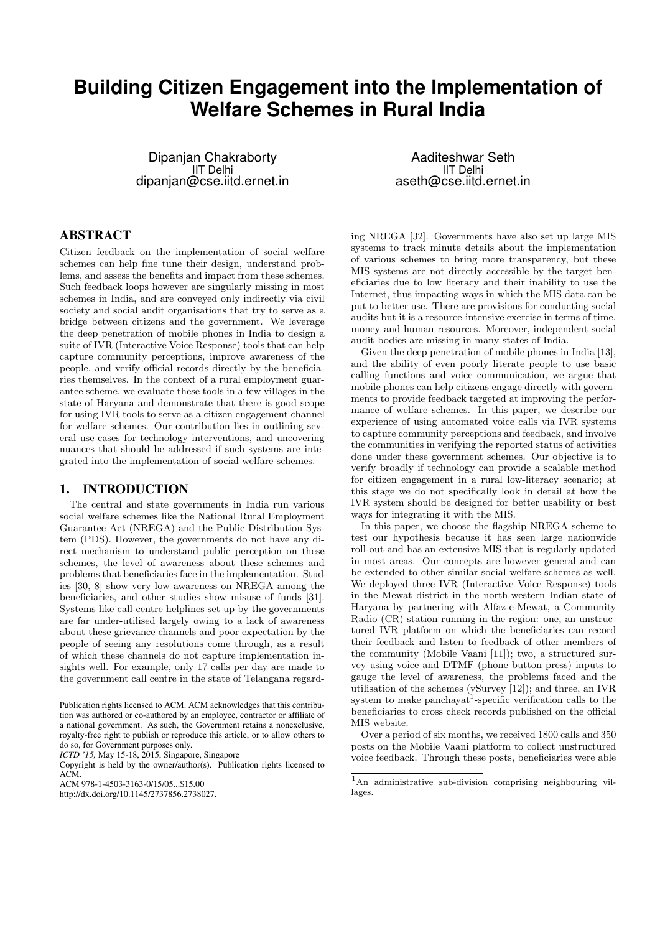# **Building Citizen Engagement into the Implementation of Welfare Schemes in Rural India**

Dipanjan Chakraborty IIT Delhi dipanjan@cse.iitd.ernet.in

# ABSTRACT

Citizen feedback on the implementation of social welfare schemes can help fine tune their design, understand problems, and assess the benefits and impact from these schemes. Such feedback loops however are singularly missing in most schemes in India, and are conveyed only indirectly via civil society and social audit organisations that try to serve as a bridge between citizens and the government. We leverage the deep penetration of mobile phones in India to design a suite of IVR (Interactive Voice Response) tools that can help capture community perceptions, improve awareness of the people, and verify official records directly by the beneficiaries themselves. In the context of a rural employment guarantee scheme, we evaluate these tools in a few villages in the state of Haryana and demonstrate that there is good scope for using IVR tools to serve as a citizen engagement channel for welfare schemes. Our contribution lies in outlining several use-cases for technology interventions, and uncovering nuances that should be addressed if such systems are integrated into the implementation of social welfare schemes.

#### 1. INTRODUCTION

The central and state governments in India run various social welfare schemes like the National Rural Employment Guarantee Act (NREGA) and the Public Distribution System (PDS). However, the governments do not have any direct mechanism to understand public perception on these schemes, the level of awareness about these schemes and problems that beneficiaries face in the implementation. Studies [30, 8] show very low awareness on NREGA among the beneficiaries, and other studies show misuse of funds [31]. Systems like call-centre helplines set up by the governments are far under-utilised largely owing to a lack of awareness about these grievance channels and poor expectation by the people of seeing any resolutions come through, as a result of which these channels do not capture implementation insights well. For example, only 17 calls per day are made to the government call centre in the state of Telangana regard-

*ICTD '15,* May 15-18, 2015, Singapore, Singapore

Copyright is held by the owner/author(s). Publication rights licensed to ACM.

ACM 978-1-4503-3163-0/15/05...\$15.00

http://dx.doi.org/10.1145/2737856.2738027.

Aaditeshwar Seth IIT Delhi aseth@cse.iitd.ernet.in

ing NREGA [32]. Governments have also set up large MIS systems to track minute details about the implementation of various schemes to bring more transparency, but these MIS systems are not directly accessible by the target beneficiaries due to low literacy and their inability to use the Internet, thus impacting ways in which the MIS data can be put to better use. There are provisions for conducting social audits but it is a resource-intensive exercise in terms of time, money and human resources. Moreover, independent social audit bodies are missing in many states of India.

Given the deep penetration of mobile phones in India [13], and the ability of even poorly literate people to use basic calling functions and voice communication, we argue that mobile phones can help citizens engage directly with governments to provide feedback targeted at improving the performance of welfare schemes. In this paper, we describe our experience of using automated voice calls via IVR systems to capture community perceptions and feedback, and involve the communities in verifying the reported status of activities done under these government schemes. Our objective is to verify broadly if technology can provide a scalable method for citizen engagement in a rural low-literacy scenario; at this stage we do not specifically look in detail at how the IVR system should be designed for better usability or best ways for integrating it with the MIS.

In this paper, we choose the flagship NREGA scheme to test our hypothesis because it has seen large nationwide roll-out and has an extensive MIS that is regularly updated in most areas. Our concepts are however general and can be extended to other similar social welfare schemes as well. We deployed three IVR (Interactive Voice Response) tools in the Mewat district in the north-western Indian state of Haryana by partnering with Alfaz-e-Mewat, a Community Radio (CR) station running in the region: one, an unstructured IVR platform on which the beneficiaries can record their feedback and listen to feedback of other members of the community (Mobile Vaani [11]); two, a structured survey using voice and DTMF (phone button press) inputs to gauge the level of awareness, the problems faced and the utilisation of the schemes (vSurvey [12]); and three, an IVR system to make panchayat<sup>1</sup>-specific verification calls to the beneficiaries to cross check records published on the official MIS website.

Over a period of six months, we received 1800 calls and 350 posts on the Mobile Vaani platform to collect unstructured voice feedback. Through these posts, beneficiaries were able

Publication rights licensed to ACM. ACM acknowledges that this contribution was authored or co-authored by an employee, contractor or affiliate of a national government. As such, the Government retains a nonexclusive, royalty-free right to publish or reproduce this article, or to allow others to do so, for Government purposes only.

<sup>1</sup>An administrative sub-division comprising neighbouring villages.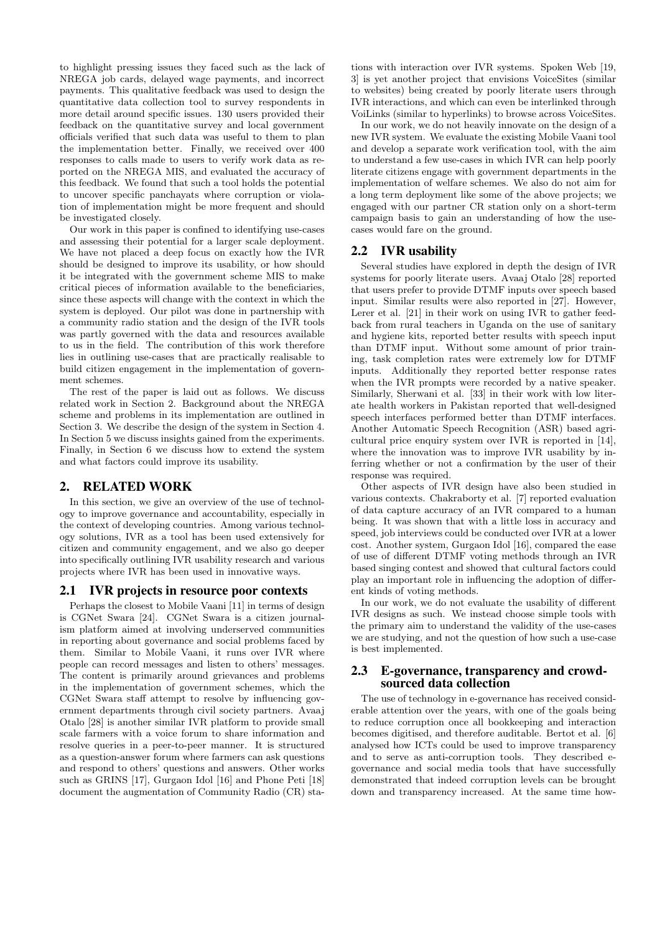to highlight pressing issues they faced such as the lack of NREGA job cards, delayed wage payments, and incorrect payments. This qualitative feedback was used to design the quantitative data collection tool to survey respondents in more detail around specific issues. 130 users provided their feedback on the quantitative survey and local government officials verified that such data was useful to them to plan the implementation better. Finally, we received over 400 responses to calls made to users to verify work data as reported on the NREGA MIS, and evaluated the accuracy of this feedback. We found that such a tool holds the potential to uncover specific panchayats where corruption or violation of implementation might be more frequent and should be investigated closely.

Our work in this paper is confined to identifying use-cases and assessing their potential for a larger scale deployment. We have not placed a deep focus on exactly how the IVR should be designed to improve its usability, or how should it be integrated with the government scheme MIS to make critical pieces of information available to the beneficiaries, since these aspects will change with the context in which the system is deployed. Our pilot was done in partnership with a community radio station and the design of the IVR tools was partly governed with the data and resources available to us in the field. The contribution of this work therefore lies in outlining use-cases that are practically realisable to build citizen engagement in the implementation of government schemes.

The rest of the paper is laid out as follows. We discuss related work in Section 2. Background about the NREGA scheme and problems in its implementation are outlined in Section 3. We describe the design of the system in Section 4. In Section 5 we discuss insights gained from the experiments. Finally, in Section 6 we discuss how to extend the system and what factors could improve its usability.

# 2. RELATED WORK

In this section, we give an overview of the use of technology to improve governance and accountability, especially in the context of developing countries. Among various technology solutions, IVR as a tool has been used extensively for citizen and community engagement, and we also go deeper into specifically outlining IVR usability research and various projects where IVR has been used in innovative ways.

## 2.1 IVR projects in resource poor contexts

Perhaps the closest to Mobile Vaani [11] in terms of design is CGNet Swara [24]. CGNet Swara is a citizen journalism platform aimed at involving underserved communities in reporting about governance and social problems faced by them. Similar to Mobile Vaani, it runs over IVR where people can record messages and listen to others' messages. The content is primarily around grievances and problems in the implementation of government schemes, which the CGNet Swara staff attempt to resolve by influencing government departments through civil society partners. Avaaj Otalo [28] is another similar IVR platform to provide small scale farmers with a voice forum to share information and resolve queries in a peer-to-peer manner. It is structured as a question-answer forum where farmers can ask questions and respond to others' questions and answers. Other works such as GRINS [17], Gurgaon Idol [16] and Phone Peti [18] document the augmentation of Community Radio (CR) sta-

tions with interaction over IVR systems. Spoken Web [19, 3] is yet another project that envisions VoiceSites (similar to websites) being created by poorly literate users through IVR interactions, and which can even be interlinked through VoiLinks (similar to hyperlinks) to browse across VoiceSites.

In our work, we do not heavily innovate on the design of a new IVR system. We evaluate the existing Mobile Vaani tool and develop a separate work verification tool, with the aim to understand a few use-cases in which IVR can help poorly literate citizens engage with government departments in the implementation of welfare schemes. We also do not aim for a long term deployment like some of the above projects; we engaged with our partner CR station only on a short-term campaign basis to gain an understanding of how the usecases would fare on the ground.

## 2.2 IVR usability

Several studies have explored in depth the design of IVR systems for poorly literate users. Avaaj Otalo [28] reported that users prefer to provide DTMF inputs over speech based input. Similar results were also reported in [27]. However, Lerer et al. [21] in their work on using IVR to gather feedback from rural teachers in Uganda on the use of sanitary and hygiene kits, reported better results with speech input than DTMF input. Without some amount of prior training, task completion rates were extremely low for DTMF inputs. Additionally they reported better response rates when the IVR prompts were recorded by a native speaker. Similarly, Sherwani et al. [33] in their work with low literate health workers in Pakistan reported that well-designed speech interfaces performed better than DTMF interfaces. Another Automatic Speech Recognition (ASR) based agricultural price enquiry system over IVR is reported in [14], where the innovation was to improve IVR usability by inferring whether or not a confirmation by the user of their response was required.

Other aspects of IVR design have also been studied in various contexts. Chakraborty et al. [7] reported evaluation of data capture accuracy of an IVR compared to a human being. It was shown that with a little loss in accuracy and speed, job interviews could be conducted over IVR at a lower cost. Another system, Gurgaon Idol [16], compared the ease of use of different DTMF voting methods through an IVR based singing contest and showed that cultural factors could play an important role in influencing the adoption of different kinds of voting methods.

In our work, we do not evaluate the usability of different IVR designs as such. We instead choose simple tools with the primary aim to understand the validity of the use-cases we are studying, and not the question of how such a use-case is best implemented.

# 2.3 E-governance, transparency and crowdsourced data collection

The use of technology in e-governance has received considerable attention over the years, with one of the goals being to reduce corruption once all bookkeeping and interaction becomes digitised, and therefore auditable. Bertot et al. [6] analysed how ICTs could be used to improve transparency and to serve as anti-corruption tools. They described egovernance and social media tools that have successfully demonstrated that indeed corruption levels can be brought down and transparency increased. At the same time how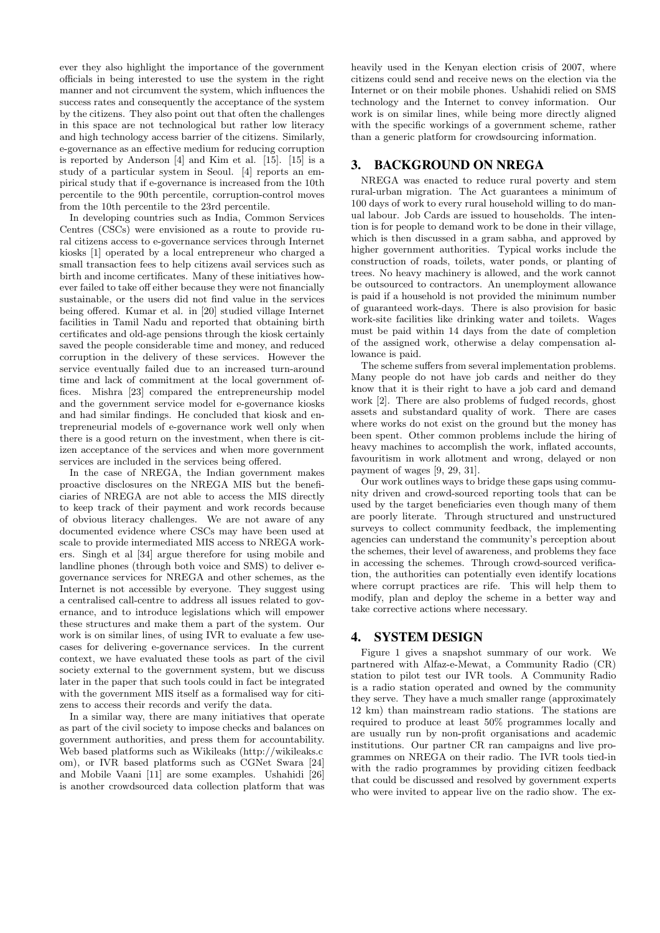ever they also highlight the importance of the government officials in being interested to use the system in the right manner and not circumvent the system, which influences the success rates and consequently the acceptance of the system by the citizens. They also point out that often the challenges in this space are not technological but rather low literacy and high technology access barrier of the citizens. Similarly, e-governance as an effective medium for reducing corruption is reported by Anderson [4] and Kim et al. [15]. [15] is a study of a particular system in Seoul. [4] reports an empirical study that if e-governance is increased from the 10th percentile to the 90th percentile, corruption-control moves from the 10th percentile to the 23rd percentile.

In developing countries such as India, Common Services Centres (CSCs) were envisioned as a route to provide rural citizens access to e-governance services through Internet kiosks [1] operated by a local entrepreneur who charged a small transaction fees to help citizens avail services such as birth and income certificates. Many of these initiatives however failed to take off either because they were not financially sustainable, or the users did not find value in the services being offered. Kumar et al. in [20] studied village Internet facilities in Tamil Nadu and reported that obtaining birth certificates and old-age pensions through the kiosk certainly saved the people considerable time and money, and reduced corruption in the delivery of these services. However the service eventually failed due to an increased turn-around time and lack of commitment at the local government offices. Mishra [23] compared the entrepreneurship model and the government service model for e-governance kiosks and had similar findings. He concluded that kiosk and entrepreneurial models of e-governance work well only when there is a good return on the investment, when there is citizen acceptance of the services and when more government services are included in the services being offered.

In the case of NREGA, the Indian government makes proactive disclosures on the NREGA MIS but the beneficiaries of NREGA are not able to access the MIS directly to keep track of their payment and work records because of obvious literacy challenges. We are not aware of any documented evidence where CSCs may have been used at scale to provide intermediated MIS access to NREGA workers. Singh et al [34] argue therefore for using mobile and landline phones (through both voice and SMS) to deliver egovernance services for NREGA and other schemes, as the Internet is not accessible by everyone. They suggest using a centralised call-centre to address all issues related to governance, and to introduce legislations which will empower these structures and make them a part of the system. Our work is on similar lines, of using IVR to evaluate a few usecases for delivering e-governance services. In the current context, we have evaluated these tools as part of the civil society external to the government system, but we discuss later in the paper that such tools could in fact be integrated with the government MIS itself as a formalised way for citizens to access their records and verify the data.

In a similar way, there are many initiatives that operate as part of the civil society to impose checks and balances on government authorities, and press them for accountability. Web based platforms such as Wikileaks (http://wikileaks.c om), or IVR based platforms such as CGNet Swara [24] and Mobile Vaani [11] are some examples. Ushahidi [26] is another crowdsourced data collection platform that was heavily used in the Kenyan election crisis of 2007, where citizens could send and receive news on the election via the Internet or on their mobile phones. Ushahidi relied on SMS technology and the Internet to convey information. Our work is on similar lines, while being more directly aligned with the specific workings of a government scheme, rather than a generic platform for crowdsourcing information.

## 3. BACKGROUND ON NREGA

NREGA was enacted to reduce rural poverty and stem rural-urban migration. The Act guarantees a minimum of 100 days of work to every rural household willing to do manual labour. Job Cards are issued to households. The intention is for people to demand work to be done in their village, which is then discussed in a gram sabha, and approved by higher government authorities. Typical works include the construction of roads, toilets, water ponds, or planting of trees. No heavy machinery is allowed, and the work cannot be outsourced to contractors. An unemployment allowance is paid if a household is not provided the minimum number of guaranteed work-days. There is also provision for basic work-site facilities like drinking water and toilets. Wages must be paid within 14 days from the date of completion of the assigned work, otherwise a delay compensation allowance is paid.

The scheme suffers from several implementation problems. Many people do not have job cards and neither do they know that it is their right to have a job card and demand work [2]. There are also problems of fudged records, ghost assets and substandard quality of work. There are cases where works do not exist on the ground but the money has been spent. Other common problems include the hiring of heavy machines to accomplish the work, inflated accounts, favouritism in work allotment and wrong, delayed or non payment of wages [9, 29, 31].

Our work outlines ways to bridge these gaps using community driven and crowd-sourced reporting tools that can be used by the target beneficiaries even though many of them are poorly literate. Through structured and unstructured surveys to collect community feedback, the implementing agencies can understand the community's perception about the schemes, their level of awareness, and problems they face in accessing the schemes. Through crowd-sourced verification, the authorities can potentially even identify locations where corrupt practices are rife. This will help them to modify, plan and deploy the scheme in a better way and take corrective actions where necessary.

## 4. SYSTEM DESIGN

Figure 1 gives a snapshot summary of our work. We partnered with Alfaz-e-Mewat, a Community Radio (CR) station to pilot test our IVR tools. A Community Radio is a radio station operated and owned by the community they serve. They have a much smaller range (approximately 12 km) than mainstream radio stations. The stations are required to produce at least 50% programmes locally and are usually run by non-profit organisations and academic institutions. Our partner CR ran campaigns and live programmes on NREGA on their radio. The IVR tools tied-in with the radio programmes by providing citizen feedback that could be discussed and resolved by government experts who were invited to appear live on the radio show. The ex-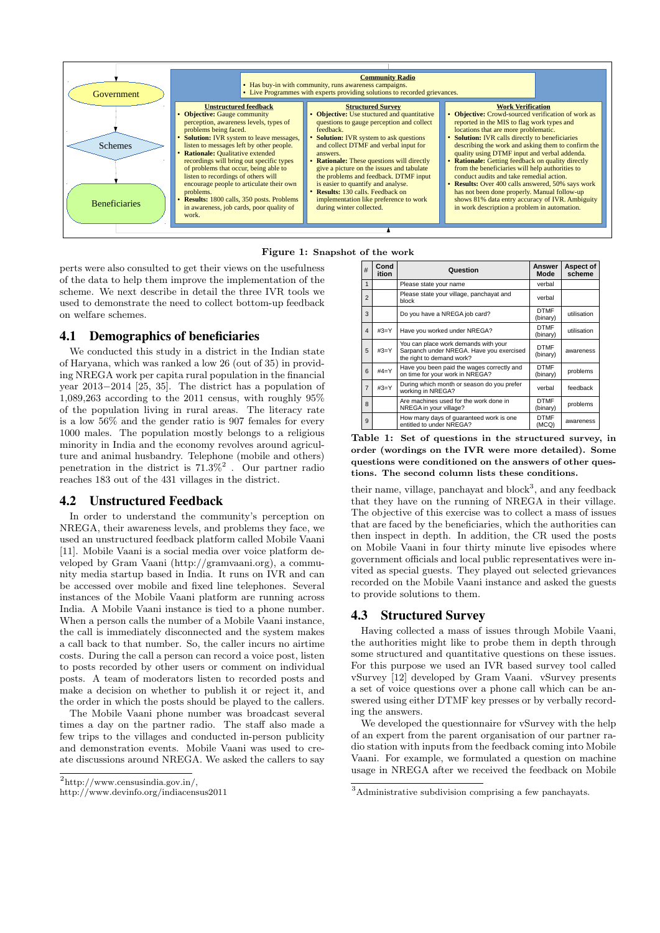| Government                             | <b>Community Radio</b><br>• Has buy-in with community, runs awareness campaigns.<br>Live Programmes with experts providing solutions to recorded grievances.                                                                                                                                                                                                                                                                                                                                                                                                       |                                                                                                                                                                                                                                                                                                                                                                                                                                                                                                                                     |                                                                                                                                                                                                                                                                                                                                                                                                                                                                                                                                                                                                                                                                                                               |  |  |  |  |  |  |  |
|----------------------------------------|--------------------------------------------------------------------------------------------------------------------------------------------------------------------------------------------------------------------------------------------------------------------------------------------------------------------------------------------------------------------------------------------------------------------------------------------------------------------------------------------------------------------------------------------------------------------|-------------------------------------------------------------------------------------------------------------------------------------------------------------------------------------------------------------------------------------------------------------------------------------------------------------------------------------------------------------------------------------------------------------------------------------------------------------------------------------------------------------------------------------|---------------------------------------------------------------------------------------------------------------------------------------------------------------------------------------------------------------------------------------------------------------------------------------------------------------------------------------------------------------------------------------------------------------------------------------------------------------------------------------------------------------------------------------------------------------------------------------------------------------------------------------------------------------------------------------------------------------|--|--|--|--|--|--|--|
| <b>Schemes</b><br><b>Beneficiaries</b> | <b>Unstructured feedback</b><br><b>Objective: Gauge community</b><br>perception, awareness levels, types of<br>problems being faced.<br><b>Solution:</b> IVR system to leave messages,<br>listen to messages left by other people.<br><b>Rationale: Qualitative extended</b><br>recordings will bring out specific types<br>of problems that occur, being able to<br>listen to recordings of others will<br>encourage people to articulate their own<br>problems.<br>Results: 1800 calls, 350 posts. Problems<br>in awareness, job cards, poor quality of<br>work. | <b>Structured Survey</b><br><b>Objective:</b> Use stuctured and quantitative<br>questions to gauge perception and collect<br>feedback.<br><b>Solution:</b> IVR system to ask questions<br>and collect DTMF and verbal input for<br>answers.<br><b>Rationale:</b> These questions will directly<br>give a picture on the issues and tabulate<br>the problems and feedback. DTMF input<br>is easier to quantify and analyse.<br>Results: 130 calls. Feedback on<br>implementation like preference to work<br>during winter collected. | <b>Work Verification</b><br><b>Objective:</b> Crowd-sourced verification of work as<br>reported in the MIS to flag work types and<br>locations that are more problematic.<br><b>Solution:</b> IVR calls directly to beneficiaries<br>describing the work and asking them to confirm the<br>quality using DTMF input and verbal addenda.<br><b>Rationale:</b> Getting feedback on quality directly<br>from the beneficiaries will help authorities to<br>conduct audits and take remedial action.<br><b>Results: Over 400 calls answered, 50% says work</b><br>has not been done properly. Manual follow-up<br>shows 81% data entry accuracy of IVR. Ambiguity<br>in work description a problem in automation. |  |  |  |  |  |  |  |
|                                        |                                                                                                                                                                                                                                                                                                                                                                                                                                                                                                                                                                    |                                                                                                                                                                                                                                                                                                                                                                                                                                                                                                                                     |                                                                                                                                                                                                                                                                                                                                                                                                                                                                                                                                                                                                                                                                                                               |  |  |  |  |  |  |  |

Figure 1: Snapshot of the work

perts were also consulted to get their views on the usefulness of the data to help them improve the implementation of the scheme. We next describe in detail the three IVR tools we used to demonstrate the need to collect bottom-up feedback on welfare schemes.

## 4.1 Demographics of beneficiaries

We conducted this study in a district in the Indian state of Haryana, which was ranked a low 26 (out of 35) in providing NREGA work per capita rural population in the financial year 2013−2014 [25, 35]. The district has a population of 1,089,263 according to the 2011 census, with roughly 95% of the population living in rural areas. The literacy rate is a low 56% and the gender ratio is 907 females for every 1000 males. The population mostly belongs to a religious minority in India and the economy revolves around agriculture and animal husbandry. Telephone (mobile and others) penetration in the district is  $71.3\%$ <sup>2</sup>. Our partner radio reaches 183 out of the 431 villages in the district.

## 4.2 Unstructured Feedback

In order to understand the community's perception on NREGA, their awareness levels, and problems they face, we used an unstructured feedback platform called Mobile Vaani [11]. Mobile Vaani is a social media over voice platform developed by Gram Vaani (http://gramvaani.org), a community media startup based in India. It runs on IVR and can be accessed over mobile and fixed line telephones. Several instances of the Mobile Vaani platform are running across India. A Mobile Vaani instance is tied to a phone number. When a person calls the number of a Mobile Vaani instance, the call is immediately disconnected and the system makes a call back to that number. So, the caller incurs no airtime costs. During the call a person can record a voice post, listen to posts recorded by other users or comment on individual posts. A team of moderators listen to recorded posts and make a decision on whether to publish it or reject it, and the order in which the posts should be played to the callers.

The Mobile Vaani phone number was broadcast several times a day on the partner radio. The staff also made a few trips to the villages and conducted in-person publicity and demonstration events. Mobile Vaani was used to create discussions around NREGA. We asked the callers to say

| #              | Cond<br>ition | <b>Question</b>                                                                                               | Answer<br>Mode          | Aspect of<br>scheme |
|----------------|---------------|---------------------------------------------------------------------------------------------------------------|-------------------------|---------------------|
| $\mathbf{1}$   |               | Please state your name                                                                                        | verbal                  |                     |
| $\overline{c}$ |               | Please state your village, panchayat and<br>block                                                             | verbal                  |                     |
| 3              |               | Do you have a NREGA job card?                                                                                 | <b>DTMF</b><br>(binary) | utilisation         |
| $\overline{4}$ | $#3=Y$        | Have you worked under NREGA?                                                                                  | <b>DTMF</b><br>(binary) | utilisation         |
| 5              | $#3=Y$        | You can place work demands with your<br>Sarpanch under NREGA. Have you exercised<br>the right to demand work? | <b>DTMF</b><br>(binary) | awareness           |
| 6              | $#4=Y$        | Have you been paid the wages correctly and<br>on time for your work in NREGA?                                 | <b>DTMF</b><br>(binary) | problems            |
| $\overline{7}$ | $#3=Y$        | During which month or season do you prefer<br>working in NREGA?                                               | verbal                  | feedback            |
| 8              |               | Are machines used for the work done in<br>NREGA in your village?                                              | <b>DTMF</b><br>(binary) | problems            |
| 9              |               | How many days of quaranteed work is one<br>entitled to under NREGA?                                           | <b>DTMF</b><br>(MCO)    | awareness           |

Table 1: Set of questions in the structured survey, in order (wordings on the IVR were more detailed). Some questions were conditioned on the answers of other questions. The second column lists these conditions.

their name, village, panchayat and block<sup>3</sup>, and any feedback that they have on the running of NREGA in their village. The objective of this exercise was to collect a mass of issues that are faced by the beneficiaries, which the authorities can then inspect in depth. In addition, the CR used the posts on Mobile Vaani in four thirty minute live episodes where government officials and local public representatives were invited as special guests. They played out selected grievances recorded on the Mobile Vaani instance and asked the guests to provide solutions to them.

## 4.3 Structured Survey

Having collected a mass of issues through Mobile Vaani, the authorities might like to probe them in depth through some structured and quantitative questions on these issues. For this purpose we used an IVR based survey tool called vSurvey [12] developed by Gram Vaani. vSurvey presents a set of voice questions over a phone call which can be answered using either DTMF key presses or by verbally recording the answers.

We developed the questionnaire for vSurvey with the help of an expert from the parent organisation of our partner radio station with inputs from the feedback coming into Mobile Vaani. For example, we formulated a question on machine usage in NREGA after we received the feedback on Mobile

<sup>2</sup> http://www.censusindia.gov.in/,

http://www.devinfo.org/indiacensus2011

<sup>3</sup>Administrative subdivision comprising a few panchayats.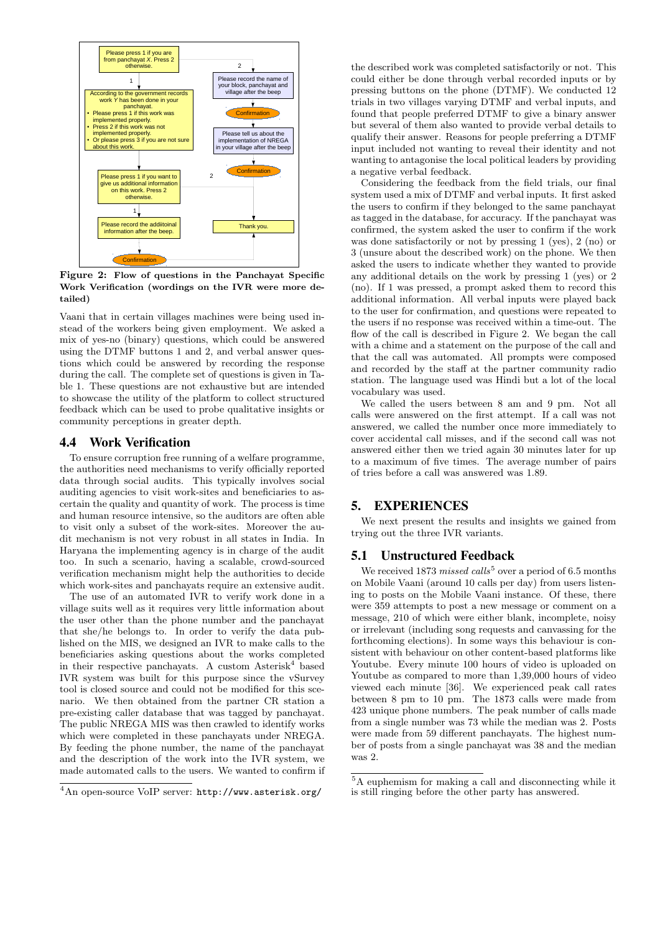

Figure 2: Flow of questions in the Panchayat Specific Work Verification (wordings on the IVR were more detailed)

Vaani that in certain villages machines were being used instead of the workers being given employment. We asked a mix of yes-no (binary) questions, which could be answered using the DTMF buttons 1 and 2, and verbal answer questions which could be answered by recording the response during the call. The complete set of questions is given in Table 1. These questions are not exhaustive but are intended to showcase the utility of the platform to collect structured feedback which can be used to probe qualitative insights or community perceptions in greater depth.

#### 4.4 Work Verification

To ensure corruption free running of a welfare programme, the authorities need mechanisms to verify officially reported data through social audits. This typically involves social auditing agencies to visit work-sites and beneficiaries to ascertain the quality and quantity of work. The process is time and human resource intensive, so the auditors are often able to visit only a subset of the work-sites. Moreover the audit mechanism is not very robust in all states in India. In Haryana the implementing agency is in charge of the audit too. In such a scenario, having a scalable, crowd-sourced verification mechanism might help the authorities to decide which work-sites and panchayats require an extensive audit.

The use of an automated IVR to verify work done in a village suits well as it requires very little information about the user other than the phone number and the panchayat that she/he belongs to. In order to verify the data published on the MIS, we designed an IVR to make calls to the beneficiaries asking questions about the works completed in their respective panchayats. A custom  $A<sup>4</sup>$  based IVR system was built for this purpose since the vSurvey tool is closed source and could not be modified for this scenario. We then obtained from the partner CR station a pre-existing caller database that was tagged by panchayat. The public NREGA MIS was then crawled to identify works which were completed in these panchayats under NREGA. By feeding the phone number, the name of the panchayat and the description of the work into the IVR system, we made automated calls to the users. We wanted to confirm if

the described work was completed satisfactorily or not. This could either be done through verbal recorded inputs or by pressing buttons on the phone (DTMF). We conducted 12 trials in two villages varying DTMF and verbal inputs, and found that people preferred DTMF to give a binary answer but several of them also wanted to provide verbal details to qualify their answer. Reasons for people preferring a DTMF input included not wanting to reveal their identity and not wanting to antagonise the local political leaders by providing a negative verbal feedback.

Considering the feedback from the field trials, our final system used a mix of DTMF and verbal inputs. It first asked the users to confirm if they belonged to the same panchayat as tagged in the database, for accuracy. If the panchayat was confirmed, the system asked the user to confirm if the work was done satisfactorily or not by pressing 1 (yes), 2 (no) or 3 (unsure about the described work) on the phone. We then asked the users to indicate whether they wanted to provide any additional details on the work by pressing 1 (yes) or 2 (no). If 1 was pressed, a prompt asked them to record this additional information. All verbal inputs were played back to the user for confirmation, and questions were repeated to the users if no response was received within a time-out. The flow of the call is described in Figure 2. We began the call with a chime and a statement on the purpose of the call and that the call was automated. All prompts were composed and recorded by the staff at the partner community radio station. The language used was Hindi but a lot of the local vocabulary was used.

We called the users between 8 am and 9 pm. Not all calls were answered on the first attempt. If a call was not answered, we called the number once more immediately to cover accidental call misses, and if the second call was not answered either then we tried again 30 minutes later for up to a maximum of five times. The average number of pairs of tries before a call was answered was 1.89.

#### 5. EXPERIENCES

We next present the results and insights we gained from trying out the three IVR variants.

## 5.1 Unstructured Feedback

We received 1873 missed calls<sup>5</sup> over a period of 6.5 months on Mobile Vaani (around 10 calls per day) from users listening to posts on the Mobile Vaani instance. Of these, there were 359 attempts to post a new message or comment on a message, 210 of which were either blank, incomplete, noisy or irrelevant (including song requests and canvassing for the forthcoming elections). In some ways this behaviour is consistent with behaviour on other content-based platforms like Youtube. Every minute 100 hours of video is uploaded on Youtube as compared to more than 1,39,000 hours of video viewed each minute [36]. We experienced peak call rates between 8 pm to 10 pm. The 1873 calls were made from 423 unique phone numbers. The peak number of calls made from a single number was 73 while the median was 2. Posts were made from 59 different panchayats. The highest number of posts from a single panchayat was 38 and the median was 2.

<sup>4</sup>An open-source VoIP server: http://www.asterisk.org/

<sup>5</sup>A euphemism for making a call and disconnecting while it is still ringing before the other party has answered.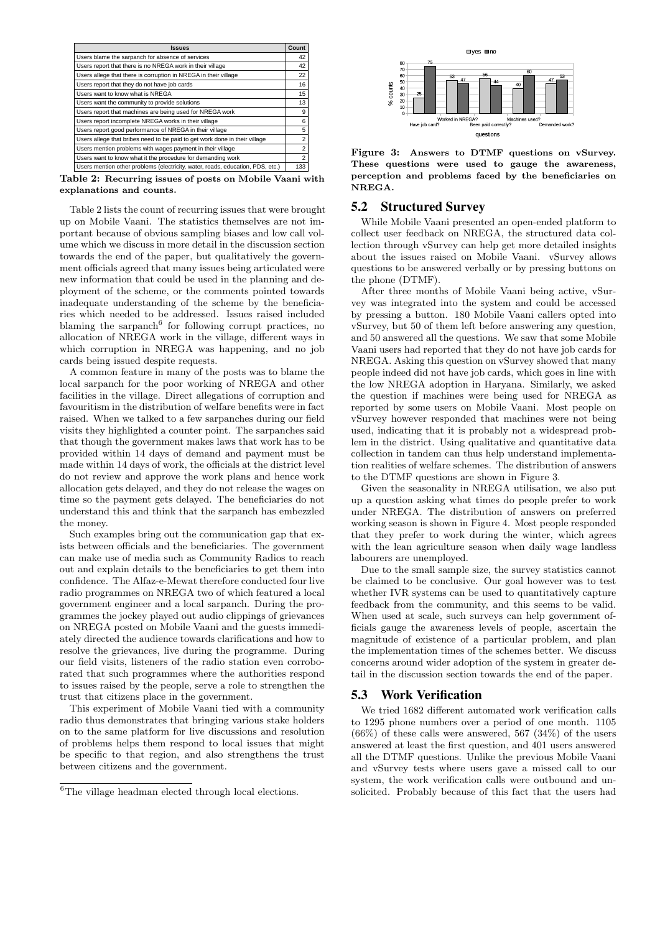| <b>Issues</b>                                                                  | Coun                    |  |
|--------------------------------------------------------------------------------|-------------------------|--|
| Users blame the sarpanch for absence of services                               |                         |  |
| Users report that there is no NREGA work in their village                      |                         |  |
| Users allege that there is corruption in NREGA in their village                | 22                      |  |
| Users report that they do not have job cards                                   | 16                      |  |
| Users want to know what is NREGA                                               | 15                      |  |
| Users want the community to provide solutions                                  | 13                      |  |
| Users report that machines are being used for NREGA work                       | 9                       |  |
| Users report incomplete NREGA works in their village                           | 6                       |  |
| Users report good performance of NREGA in their village                        | 5                       |  |
| Users allege that bribes need to be paid to get work done in their village     | $\overline{2}$          |  |
| Users mention problems with wages payment in their village                     | $\overline{2}$          |  |
| Users want to know what it the procedure for demanding work                    | $\overline{\mathbf{c}}$ |  |
| Users mention other problems (electricity, water, roads, education, PDS, etc.) | 133                     |  |

Table 2: Recurring issues of posts on Mobile Vaani with explanations and counts.

Table 2 lists the count of recurring issues that were brought up on Mobile Vaani. The statistics themselves are not important because of obvious sampling biases and low call volume which we discuss in more detail in the discussion section towards the end of the paper, but qualitatively the government officials agreed that many issues being articulated were new information that could be used in the planning and deployment of the scheme, or the comments pointed towards inadequate understanding of the scheme by the beneficiaries which needed to be addressed. Issues raised included blaming the sarpanch<sup> $6$ </sup> for following corrupt practices, no allocation of NREGA work in the village, different ways in which corruption in NREGA was happening, and no job cards being issued despite requests.

A common feature in many of the posts was to blame the local sarpanch for the poor working of NREGA and other facilities in the village. Direct allegations of corruption and favouritism in the distribution of welfare benefits were in fact raised. When we talked to a few sarpanches during our field visits they highlighted a counter point. The sarpanches said that though the government makes laws that work has to be provided within 14 days of demand and payment must be made within 14 days of work, the officials at the district level do not review and approve the work plans and hence work allocation gets delayed, and they do not release the wages on time so the payment gets delayed. The beneficiaries do not understand this and think that the sarpanch has embezzled the money.

Such examples bring out the communication gap that exists between officials and the beneficiaries. The government can make use of media such as Community Radios to reach out and explain details to the beneficiaries to get them into confidence. The Alfaz-e-Mewat therefore conducted four live radio programmes on NREGA two of which featured a local government engineer and a local sarpanch. During the programmes the jockey played out audio clippings of grievances on NREGA posted on Mobile Vaani and the guests immediately directed the audience towards clarifications and how to resolve the grievances, live during the programme. During our field visits, listeners of the radio station even corroborated that such programmes where the authorities respond to issues raised by the people, serve a role to strengthen the trust that citizens place in the government.

This experiment of Mobile Vaani tied with a community radio thus demonstrates that bringing various stake holders on to the same platform for live discussions and resolution of problems helps them respond to local issues that might be specific to that region, and also strengthens the trust between citizens and the government.



Figure 3: Answers to DTMF questions on vSurvey. These questions were used to gauge the awareness, perception and problems faced by the beneficiaries on NREGA.

## 5.2 Structured Survey

While Mobile Vaani presented an open-ended platform to collect user feedback on NREGA, the structured data collection through vSurvey can help get more detailed insights about the issues raised on Mobile Vaani. vSurvey allows questions to be answered verbally or by pressing buttons on the phone (DTMF).

After three months of Mobile Vaani being active, vSurvey was integrated into the system and could be accessed by pressing a button. 180 Mobile Vaani callers opted into vSurvey, but 50 of them left before answering any question, and 50 answered all the questions. We saw that some Mobile Vaani users had reported that they do not have job cards for NREGA. Asking this question on vSurvey showed that many people indeed did not have job cards, which goes in line with the low NREGA adoption in Haryana. Similarly, we asked the question if machines were being used for NREGA as reported by some users on Mobile Vaani. Most people on vSurvey however responded that machines were not being used, indicating that it is probably not a widespread problem in the district. Using qualitative and quantitative data collection in tandem can thus help understand implementation realities of welfare schemes. The distribution of answers to the DTMF questions are shown in Figure 3.

Given the seasonality in NREGA utilisation, we also put up a question asking what times do people prefer to work under NREGA. The distribution of answers on preferred working season is shown in Figure 4. Most people responded that they prefer to work during the winter, which agrees with the lean agriculture season when daily wage landless labourers are unemployed.

Due to the small sample size, the survey statistics cannot be claimed to be conclusive. Our goal however was to test whether IVR systems can be used to quantitatively capture feedback from the community, and this seems to be valid. When used at scale, such surveys can help government officials gauge the awareness levels of people, ascertain the magnitude of existence of a particular problem, and plan the implementation times of the schemes better. We discuss concerns around wider adoption of the system in greater detail in the discussion section towards the end of the paper.

## 5.3 Work Verification

We tried 1682 different automated work verification calls to 1295 phone numbers over a period of one month. 1105  $(66\%)$  of these calls were answered, 567 (34%) of the users answered at least the first question, and 401 users answered all the DTMF questions. Unlike the previous Mobile Vaani and vSurvey tests where users gave a missed call to our system, the work verification calls were outbound and unsolicited. Probably because of this fact that the users had

 ${}^{6}\mathrm{The}$  village headman elected through local elections.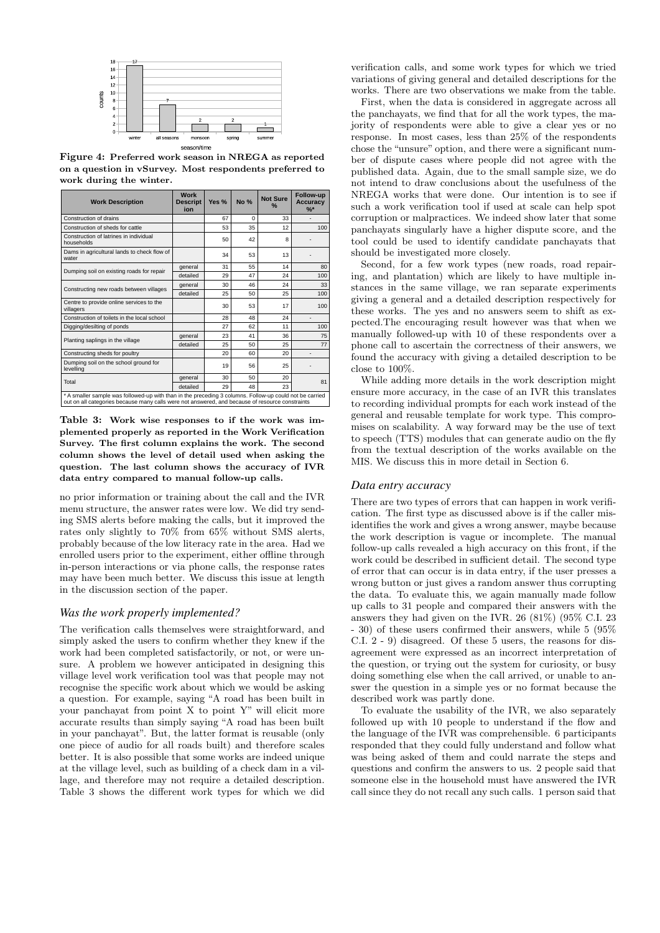

Figure 4: Preferred work season in NREGA as reported on a question in vSurvey. Most respondents preferred to work during the winter.

| <b>Work Description</b>                                                                                                                                                                                    | <b>Work</b><br><b>Descript</b><br>ion | Yes % | <b>No %</b> | <b>Not Sure</b><br>0/6 | Follow-up<br><b>Accuracy</b><br>$0/6*$ |  |
|------------------------------------------------------------------------------------------------------------------------------------------------------------------------------------------------------------|---------------------------------------|-------|-------------|------------------------|----------------------------------------|--|
| Construction of drains                                                                                                                                                                                     |                                       | 67    | $\Omega$    | 33                     | $\overline{a}$                         |  |
| Construction of sheds for cattle                                                                                                                                                                           |                                       | 53    | 35          | 12                     | 100                                    |  |
| Construction of latrines in individual<br>households                                                                                                                                                       |                                       | 50    | 42          | 8                      |                                        |  |
| Dams in agricultural lands to check flow of<br>water                                                                                                                                                       |                                       | 34    | 53          | 13                     |                                        |  |
| Dumping soil on existing roads for repair                                                                                                                                                                  | general                               | 31    | 55          | 14                     | 80                                     |  |
|                                                                                                                                                                                                            | detailed                              | 29    | 47          | 24                     | 100                                    |  |
| Constructing new roads between villages                                                                                                                                                                    | general                               | 30    | 46          | 24                     | 33                                     |  |
|                                                                                                                                                                                                            | detailed                              | 25    | 50          | 25                     | 100                                    |  |
| Centre to provide online services to the<br>villagers                                                                                                                                                      |                                       | 30    | 53          | 17                     | 100                                    |  |
| Construction of toilets in the local school                                                                                                                                                                |                                       | 28    | 48          | 24                     | $\overline{a}$                         |  |
| Digging/desilting of ponds                                                                                                                                                                                 |                                       | 27    | 62          | 11                     | 100                                    |  |
|                                                                                                                                                                                                            | general                               | 23    | 41          | 36                     | 75                                     |  |
| Planting saplings in the village                                                                                                                                                                           | detailed                              | 25    | 50          | 25                     | 77                                     |  |
| Constructing sheds for poultry                                                                                                                                                                             |                                       | 20    | 60          | 20                     | $\overline{a}$                         |  |
| Dumping soil on the school ground for<br>levelling                                                                                                                                                         |                                       | 19    | 56          | 25                     |                                        |  |
|                                                                                                                                                                                                            | general                               | 30    | 50          | 20                     | 81                                     |  |
| Total                                                                                                                                                                                                      | detailed                              | 29    | 48          | 23                     |                                        |  |
| * A smaller sample was followed-up with than in the preceding 3 columns. Follow-up could not be carried<br>out on all categories because many calls were not answered, and because of resource constraints |                                       |       |             |                        |                                        |  |

Table 3: Work wise responses to if the work was implemented properly as reported in the Work Verification Survey. The first column explains the work. The second column shows the level of detail used when asking the question. The last column shows the accuracy of IVR data entry compared to manual follow-up calls.

no prior information or training about the call and the IVR menu structure, the answer rates were low. We did try sending SMS alerts before making the calls, but it improved the rates only slightly to 70% from 65% without SMS alerts, probably because of the low literacy rate in the area. Had we enrolled users prior to the experiment, either offline through in-person interactions or via phone calls, the response rates may have been much better. We discuss this issue at length in the discussion section of the paper.

#### *Was the work properly implemented?*

The verification calls themselves were straightforward, and simply asked the users to confirm whether they knew if the work had been completed satisfactorily, or not, or were unsure. A problem we however anticipated in designing this village level work verification tool was that people may not recognise the specific work about which we would be asking a question. For example, saying "A road has been built in your panchayat from point X to point Y" will elicit more accurate results than simply saying "A road has been built in your panchayat". But, the latter format is reusable (only one piece of audio for all roads built) and therefore scales better. It is also possible that some works are indeed unique at the village level, such as building of a check dam in a village, and therefore may not require a detailed description. Table 3 shows the different work types for which we did

verification calls, and some work types for which we tried variations of giving general and detailed descriptions for the works. There are two observations we make from the table.

First, when the data is considered in aggregate across all the panchayats, we find that for all the work types, the majority of respondents were able to give a clear yes or no response. In most cases, less than 25% of the respondents chose the "unsure" option, and there were a significant number of dispute cases where people did not agree with the published data. Again, due to the small sample size, we do not intend to draw conclusions about the usefulness of the NREGA works that were done. Our intention is to see if such a work verification tool if used at scale can help spot corruption or malpractices. We indeed show later that some panchayats singularly have a higher dispute score, and the tool could be used to identify candidate panchayats that should be investigated more closely.

Second, for a few work types (new roads, road repairing, and plantation) which are likely to have multiple instances in the same village, we ran separate experiments giving a general and a detailed description respectively for these works. The yes and no answers seem to shift as expected.The encouraging result however was that when we manually followed-up with 10 of these respondents over a phone call to ascertain the correctness of their answers, we found the accuracy with giving a detailed description to be close to 100%.

While adding more details in the work description might ensure more accuracy, in the case of an IVR this translates to recording individual prompts for each work instead of the general and reusable template for work type. This compromises on scalability. A way forward may be the use of text to speech (TTS) modules that can generate audio on the fly from the textual description of the works available on the MIS. We discuss this in more detail in Section 6.

#### *Data entry accuracy*

There are two types of errors that can happen in work verification. The first type as discussed above is if the caller misidentifies the work and gives a wrong answer, maybe because the work description is vague or incomplete. The manual follow-up calls revealed a high accuracy on this front, if the work could be described in sufficient detail. The second type of error that can occur is in data entry, if the user presses a wrong button or just gives a random answer thus corrupting the data. To evaluate this, we again manually made follow up calls to 31 people and compared their answers with the answers they had given on the IVR. 26 (81%) (95% C.I. 23 - 30) of these users confirmed their answers, while 5 (95% C.I. 2 - 9) disagreed. Of these 5 users, the reasons for disagreement were expressed as an incorrect interpretation of the question, or trying out the system for curiosity, or busy doing something else when the call arrived, or unable to answer the question in a simple yes or no format because the described work was partly done.

To evaluate the usability of the IVR, we also separately followed up with 10 people to understand if the flow and the language of the IVR was comprehensible. 6 participants responded that they could fully understand and follow what was being asked of them and could narrate the steps and questions and confirm the answers to us. 2 people said that someone else in the household must have answered the IVR call since they do not recall any such calls. 1 person said that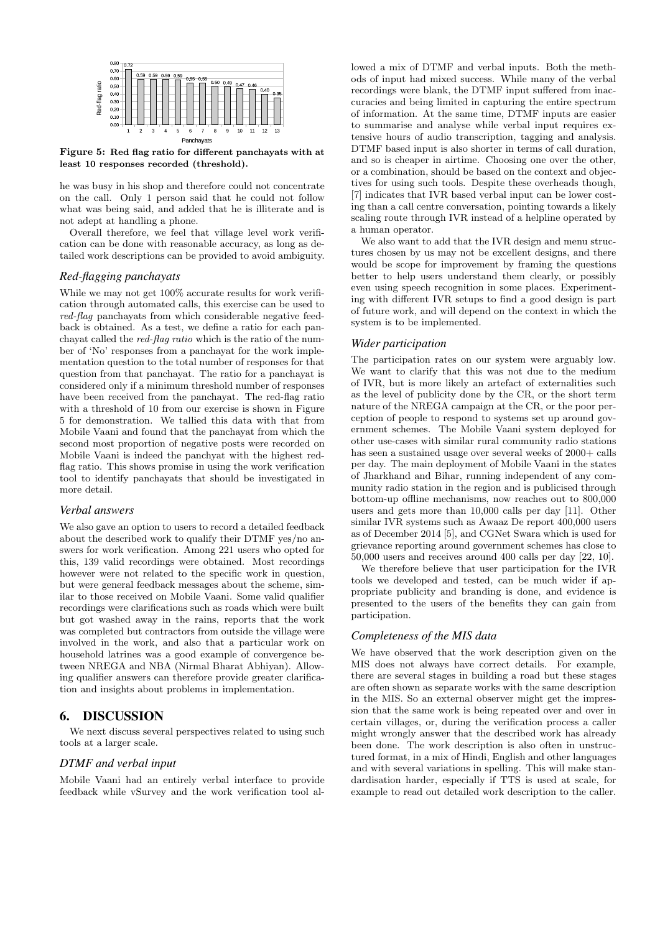

Figure 5: Red flag ratio for different panchayats with at least 10 responses recorded (threshold).

he was busy in his shop and therefore could not concentrate on the call. Only 1 person said that he could not follow what was being said, and added that he is illiterate and is not adept at handling a phone.

Overall therefore, we feel that village level work verification can be done with reasonable accuracy, as long as detailed work descriptions can be provided to avoid ambiguity.

#### *Red-flagging panchayats*

While we may not get 100% accurate results for work verification through automated calls, this exercise can be used to red-flag panchayats from which considerable negative feedback is obtained. As a test, we define a ratio for each panchayat called the red-flag ratio which is the ratio of the number of 'No' responses from a panchayat for the work implementation question to the total number of responses for that question from that panchayat. The ratio for a panchayat is considered only if a minimum threshold number of responses have been received from the panchayat. The red-flag ratio with a threshold of 10 from our exercise is shown in Figure 5 for demonstration. We tallied this data with that from Mobile Vaani and found that the panchayat from which the second most proportion of negative posts were recorded on Mobile Vaani is indeed the panchyat with the highest redflag ratio. This shows promise in using the work verification tool to identify panchayats that should be investigated in more detail.

#### *Verbal answers*

We also gave an option to users to record a detailed feedback about the described work to qualify their DTMF yes/no answers for work verification. Among 221 users who opted for this, 139 valid recordings were obtained. Most recordings however were not related to the specific work in question, but were general feedback messages about the scheme, similar to those received on Mobile Vaani. Some valid qualifier recordings were clarifications such as roads which were built but got washed away in the rains, reports that the work was completed but contractors from outside the village were involved in the work, and also that a particular work on household latrines was a good example of convergence between NREGA and NBA (Nirmal Bharat Abhiyan). Allowing qualifier answers can therefore provide greater clarification and insights about problems in implementation.

## 6. DISCUSSION

We next discuss several perspectives related to using such tools at a larger scale.

#### *DTMF and verbal input*

Mobile Vaani had an entirely verbal interface to provide feedback while vSurvey and the work verification tool allowed a mix of DTMF and verbal inputs. Both the methods of input had mixed success. While many of the verbal recordings were blank, the DTMF input suffered from inaccuracies and being limited in capturing the entire spectrum of information. At the same time, DTMF inputs are easier to summarise and analyse while verbal input requires extensive hours of audio transcription, tagging and analysis. DTMF based input is also shorter in terms of call duration, and so is cheaper in airtime. Choosing one over the other, or a combination, should be based on the context and objectives for using such tools. Despite these overheads though, [7] indicates that IVR based verbal input can be lower costing than a call centre conversation, pointing towards a likely scaling route through IVR instead of a helpline operated by a human operator.

We also want to add that the IVR design and menu structures chosen by us may not be excellent designs, and there would be scope for improvement by framing the questions better to help users understand them clearly, or possibly even using speech recognition in some places. Experimenting with different IVR setups to find a good design is part of future work, and will depend on the context in which the system is to be implemented.

#### *Wider participation*

The participation rates on our system were arguably low. We want to clarify that this was not due to the medium of IVR, but is more likely an artefact of externalities such as the level of publicity done by the CR, or the short term nature of the NREGA campaign at the CR, or the poor perception of people to respond to systems set up around government schemes. The Mobile Vaani system deployed for other use-cases with similar rural community radio stations has seen a sustained usage over several weeks of  $2000+$  calls per day. The main deployment of Mobile Vaani in the states of Jharkhand and Bihar, running independent of any community radio station in the region and is publicised through bottom-up offline mechanisms, now reaches out to 800,000 users and gets more than 10,000 calls per day [11]. Other similar IVR systems such as Awaaz De report 400,000 users as of December 2014 [5], and CGNet Swara which is used for grievance reporting around government schemes has close to 50,000 users and receives around 400 calls per day [22, 10].

We therefore believe that user participation for the IVR tools we developed and tested, can be much wider if appropriate publicity and branding is done, and evidence is presented to the users of the benefits they can gain from participation.

#### *Completeness of the MIS data*

We have observed that the work description given on the MIS does not always have correct details. For example, there are several stages in building a road but these stages are often shown as separate works with the same description in the MIS. So an external observer might get the impression that the same work is being repeated over and over in certain villages, or, during the verification process a caller might wrongly answer that the described work has already been done. The work description is also often in unstructured format, in a mix of Hindi, English and other languages and with several variations in spelling. This will make standardisation harder, especially if TTS is used at scale, for example to read out detailed work description to the caller.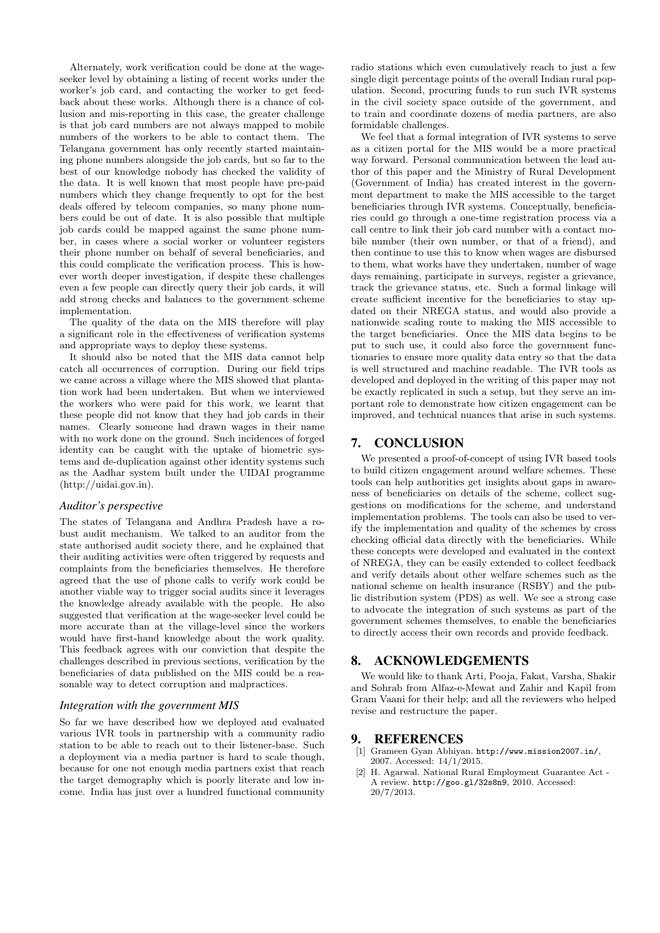Alternately, work verification could be done at the wageseeker level by obtaining a listing of recent works under the worker's job card, and contacting the worker to get feedback about these works. Although there is a chance of collusion and mis-reporting in this case, the greater challenge is that job card numbers are not always mapped to mobile numbers of the workers to be able to contact them. The Telangana government has only recently started maintaining phone numbers alongside the job cards, but so far to the best of our knowledge nobody has checked the validity of the data. It is well known that most people have pre-paid numbers which they change frequently to opt for the best deals offered by telecom companies, so many phone numbers could be out of date. It is also possible that multiple job cards could be mapped against the same phone number, in cases where a social worker or volunteer registers their phone number on behalf of several beneficiaries, and this could complicate the verification process. This is however worth deeper investigation, if despite these challenges even a few people can directly query their job cards, it will add strong checks and balances to the government scheme implementation.

The quality of the data on the MIS therefore will play a significant role in the effectiveness of verification systems and appropriate ways to deploy these systems.

It should also be noted that the MIS data cannot help catch all occurrences of corruption. During our field trips we came across a village where the MIS showed that plantation work had been undertaken. But when we interviewed the workers who were paid for this work, we learnt that these people did not know that they had job cards in their names. Clearly someone had drawn wages in their name with no work done on the ground. Such incidences of forged identity can be caught with the uptake of biometric systems and de-duplication against other identity systems such as the Aadhar system built under the UIDAI programme (http://uidai.gov.in).

#### *Auditor's perspective*

The states of Telangana and Andhra Pradesh have a robust audit mechanism. We talked to an auditor from the state authorised audit society there, and he explained that their auditing activities were often triggered by requests and complaints from the beneficiaries themselves. He therefore agreed that the use of phone calls to verify work could be another viable way to trigger social audits since it leverages the knowledge already available with the people. He also suggested that verification at the wage-seeker level could be more accurate than at the village-level since the workers would have first-hand knowledge about the work quality. This feedback agrees with our conviction that despite the challenges described in previous sections, verification by the beneficiaries of data published on the MIS could be a reasonable way to detect corruption and malpractices.

#### *Integration with the government MIS*

So far we have described how we deployed and evaluated various IVR tools in partnership with a community radio station to be able to reach out to their listener-base. Such a deployment via a media partner is hard to scale though, because for one not enough media partners exist that reach the target demography which is poorly literate and low income. India has just over a hundred functional community

radio stations which even cumulatively reach to just a few single digit percentage points of the overall Indian rural population. Second, procuring funds to run such IVR systems in the civil society space outside of the government, and to train and coordinate dozens of media partners, are also formidable challenges.

We feel that a formal integration of IVR systems to serve as a citizen portal for the MIS would be a more practical way forward. Personal communication between the lead author of this paper and the Ministry of Rural Development (Government of India) has created interest in the government department to make the MIS accessible to the target beneficiaries through IVR systems. Conceptually, beneficiaries could go through a one-time registration process via a call centre to link their job card number with a contact mobile number (their own number, or that of a friend), and then continue to use this to know when wages are disbursed to them, what works have they undertaken, number of wage days remaining, participate in surveys, register a grievance, track the grievance status, etc. Such a formal linkage will create sufficient incentive for the beneficiaries to stay updated on their NREGA status, and would also provide a nationwide scaling route to making the MIS accessible to the target beneficiaries. Once the MIS data begins to be put to such use, it could also force the government functionaries to ensure more quality data entry so that the data is well structured and machine readable. The IVR tools as developed and deployed in the writing of this paper may not be exactly replicated in such a setup, but they serve an important role to demonstrate how citizen engagement can be improved, and technical nuances that arise in such systems.

# 7. CONCLUSION

We presented a proof-of-concept of using IVR based tools to build citizen engagement around welfare schemes. These tools can help authorities get insights about gaps in awareness of beneficiaries on details of the scheme, collect suggestions on modifications for the scheme, and understand implementation problems. The tools can also be used to verify the implementation and quality of the schemes by cross checking official data directly with the beneficiaries. While these concepts were developed and evaluated in the context of NREGA, they can be easily extended to collect feedback and verify details about other welfare schemes such as the national scheme on health insurance (RSBY) and the public distribution system (PDS) as well. We see a strong case to advocate the integration of such systems as part of the government schemes themselves, to enable the beneficiaries to directly access their own records and provide feedback.

## 8. ACKNOWLEDGEMENTS

We would like to thank Arti, Pooja, Fakat, Varsha, Shakir and Sohrab from Alfaz-e-Mewat and Zahir and Kapil from Gram Vaani for their help; and all the reviewers who helped revise and restructure the paper.

#### 9. REFERENCES

- [1] Grameen Gyan Abhiyan. http://www.mission2007.in/, 2007. Accessed: 14/1/2015.
- [2] H. Agarwal. National Rural Employment Guarantee Act A review. http://goo.gl/32s8n9, 2010. Accessed: 20/7/2013.